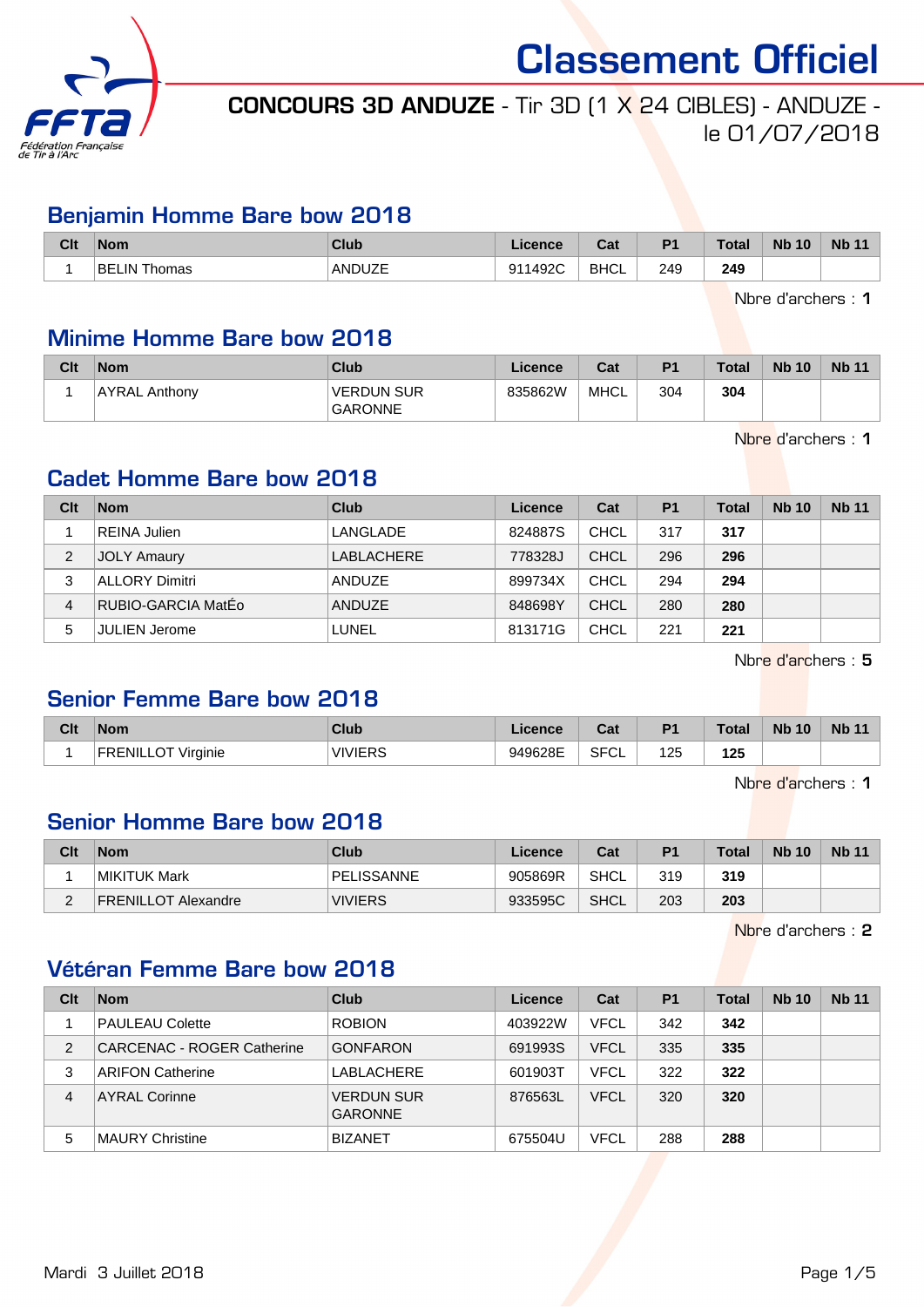

# CONCOURS 3D ANDUZE - Tir 3D (1 X 24 CIBLES) - ANDUZE le 01/07/2018

#### Benjamin Homme Bare bow 2018

| Clt | <b>Nom</b>               | Club   | icence           | ่∩ื่∽∗<br>⊍a | D <sub>4</sub> | <b>Total</b>  | <b>Nb 10</b> | Nb <sub>1</sub> |
|-----|--------------------------|--------|------------------|--------------|----------------|---------------|--------------|-----------------|
|     | BE<br><b>IN</b><br>homas | ANDUZE | ാറ<br><b>011</b> | <b>BHCL</b>  | 249<br>$\sim$  | 249<br>$\sim$ |              |                 |

Nbre d'archers : 1

#### Minime Homme Bare bow 2018

| Clt | <b>Nom</b>    | <b>Club</b>                         | Licence | Cat  | P <sub>1</sub> | <b>Total</b> | <b>Nb 10</b> | <b>Nb 11</b> |
|-----|---------------|-------------------------------------|---------|------|----------------|--------------|--------------|--------------|
|     | AYRAL Anthony | <b>VERDUN SUR</b><br><b>GARONNE</b> | 835862W | MHCL | 304            | 304          |              |              |

Nbre d'archers : 1

#### Cadet Homme Bare bow 2018

| Clt | <b>Nom</b>            | Club       | Licence | Cat         | P <sub>1</sub> | <b>Total</b> | <b>Nb 10</b> | <b>Nb 11</b> |
|-----|-----------------------|------------|---------|-------------|----------------|--------------|--------------|--------------|
|     | <b>REINA Julien</b>   | LANGLADE   | 824887S | <b>CHCL</b> | 317            | 317          |              |              |
| 2   | <b>JOLY Amaury</b>    | LABLACHERE | 778328J | <b>CHCL</b> | 296            | 296          |              |              |
| 3   | <b>ALLORY Dimitri</b> | ANDUZE     | 899734X | <b>CHCL</b> | 294            | 294          |              |              |
| 4   | RUBIO-GARCIA MatEo    | ANDUZE     | 848698Y | <b>CHCL</b> | 280            | 280          |              |              |
| 5   | <b>JULIEN Jerome</b>  | LUNEL      | 813171G | <b>CHCL</b> | 221            | 221          |              |              |

Nbre d'archers : 5

#### Senior Femme Bare bow 2018

| Clt | <b>Nom</b>                  | Club             | .icence | <b>The State</b><br>val | P <sub>1</sub> | <b>Total</b> | <b>Nb</b><br>10 | <b>Nb 11</b> |
|-----|-----------------------------|------------------|---------|-------------------------|----------------|--------------|-----------------|--------------|
|     | Virginie<br><b>FRENILLU</b> | VIVIERS<br>טח⊐ו∨ | 949628E | <b>SFCL</b>             | 125            | 125          |                 |              |

Nbre d'archers : 1

#### Senior Homme Bare bow 2018

| Clt      | <b>Nom</b>          | Club              | Licence | Cat  | P <sub>1</sub> | Total | <b>Nb 10</b> | <b>Nb 11</b> |
|----------|---------------------|-------------------|---------|------|----------------|-------|--------------|--------------|
|          | MIKITUK Mark        | <b>PELISSANNE</b> | 905869R | SHCL | 319            | 319   |              |              |
| <u>_</u> | FRENILLOT Alexandre | <b>VIVIERS</b>    | 933595C | SHCL | 203            | 203   |              |              |

Nbre d'archers : 2

#### Vétéran Femme Bare bow 2018

| Clt | <b>Nom</b>                        | Club                                | Licence | Cat         | P <sub>1</sub> | <b>Total</b> | <b>Nb 10</b> | <b>Nb 11</b> |
|-----|-----------------------------------|-------------------------------------|---------|-------------|----------------|--------------|--------------|--------------|
|     | <b>PAULEAU Colette</b>            | <b>ROBION</b>                       | 403922W | <b>VFCL</b> | 342            | 342          |              |              |
| 2   | <b>CARCENAC - ROGER Catherine</b> | <b>GONFARON</b>                     | 691993S | <b>VFCL</b> | 335            | 335          |              |              |
| 3   | ARIFON Catherine                  | LABLACHERE                          | 601903T | <b>VFCL</b> | 322            | 322          |              |              |
| 4   | <b>AYRAL Corinne</b>              | <b>VERDUN SUR</b><br><b>GARONNE</b> | 876563L | <b>VFCL</b> | 320            | 320          |              |              |
| 5   | MAURY Christine                   | <b>BIZANET</b>                      | 675504U | <b>VFCL</b> | 288            | 288          |              |              |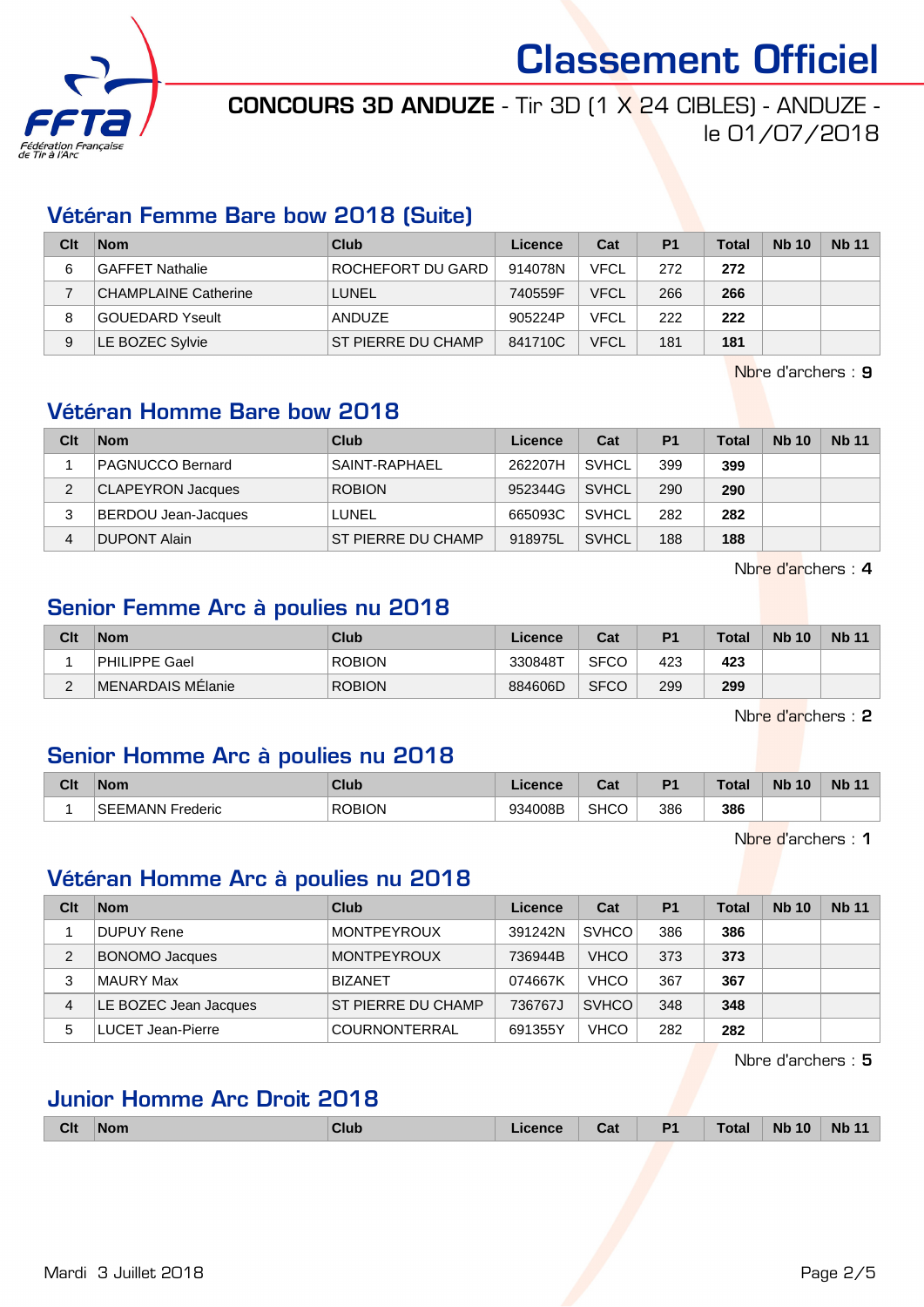

# CONCOURS 3D ANDUZE - Tir 3D (1 X 24 CIBLES) - ANDUZE -

le 01/07/2018

#### Vétéran Femme Bare bow 2018 (Suite)

| Clt | <b>Nom</b>                  | Club               | Licence | Cat         | P <sub>1</sub> | <b>Total</b> | <b>Nb 10</b> | <b>Nb 11</b> |
|-----|-----------------------------|--------------------|---------|-------------|----------------|--------------|--------------|--------------|
| 6   | GAFFET Nathalie             | ROCHEFORT DU GARD  | 914078N | <b>VFCL</b> | 272            | 272          |              |              |
|     | <b>CHAMPLAINE Catherine</b> | LUNEL              | 740559F | <b>VFCL</b> | 266            | 266          |              |              |
| 8   | <b>GOUEDARD Yseult</b>      | <b>ANDUZE</b>      | 905224P | <b>VFCL</b> | 222            | 222          |              |              |
| 9   | LE BOZEC Sylvie             | ST PIERRE DU CHAMP | 841710C | <b>VFCL</b> | 181            | 181          |              |              |

Nbre d'archers : 9

## Vétéran Homme Bare bow 2018

| Clt | <b>Nom</b>               | Club                      | Licence | Cat          | P <sub>1</sub> | <b>Total</b> | <b>Nb 10</b> | <b>Nb 11</b> |
|-----|--------------------------|---------------------------|---------|--------------|----------------|--------------|--------------|--------------|
|     | <b>PAGNUCCO Bernard</b>  | SAINT-RAPHAEL             | 262207H | <b>SVHCL</b> | 399            | 399          |              |              |
| 2   | <b>CLAPEYRON Jacques</b> | <b>ROBION</b>             | 952344G | <b>SVHCL</b> | 290            | 290          |              |              |
| 3   | BERDOU Jean-Jacques      | 'LUNEL                    | 665093C | <b>SVHCL</b> | 282            | 282          |              |              |
|     | <b>DUPONT Alain</b>      | <b>ST PIERRE DU CHAMP</b> | 918975L | <b>SVHCL</b> | 188            | 188          |              |              |

Nbre d'archers : 4

## Senior Femme Arc à poulies nu 2018

| Clt | <b>Nom</b>        | Club          | Licence | Cat         | P <sub>1</sub> | <b>Total</b> | <b>Nb 10</b> | Nb <sub>11</sub> |
|-----|-------------------|---------------|---------|-------------|----------------|--------------|--------------|------------------|
|     | PHILIPPE Gael     | <b>ROBION</b> | 330848T | <b>SFCO</b> | 423            | 423          |              |                  |
| _   | MENARDAIS MElanie | <b>ROBION</b> | 884606D | <b>SFCO</b> | 299            | 299          |              |                  |

Nbre d'archers : 2

#### Senior Homme Arc à poulies nu 2018

| Clt | <b>Nom</b>              | Club          | .icence | ่∩ำง<br>va  | D.  | <b>Total</b> | <b>Nb 10</b> | <b>Nb 11</b> |
|-----|-------------------------|---------------|---------|-------------|-----|--------------|--------------|--------------|
|     | <b>SEEMANN Frederic</b> | <b>ROBION</b> | 934008B | <b>SHCC</b> | 386 | 386          |              |              |

Nbre d'archers : 1

### Vétéran Homme Arc à poulies nu 2018

| Clt | <b>Nom</b>            | Club                 | Licence | Cat          | P <sub>1</sub> | <b>Total</b> | <b>Nb 10</b> | <b>Nb 11</b> |
|-----|-----------------------|----------------------|---------|--------------|----------------|--------------|--------------|--------------|
|     | DUPUY Rene            | <b>MONTPEYROUX</b>   | 391242N | <b>SVHCO</b> | 386            | 386          |              |              |
| 2   | <b>BONOMO Jacques</b> | <b>MONTPEYROUX</b>   | 736944B | <b>VHCO</b>  | 373            | 373          |              |              |
| 3   | MAURY Max             | <b>BIZANET</b>       | 074667K | <b>VHCO</b>  | 367            | 367          |              |              |
| 4   | LE BOZEC Jean Jacques | ST PIERRE DU CHAMP   | 736767J | <b>SVHCO</b> | 348            | 348          |              |              |
| 5   | LUCET Jean-Pierre     | <b>COURNONTERRAL</b> | 691355Y | <b>VHCO</b>  | 282            | 282          |              |              |

Nbre d'archers : 5

#### Junior Homme Arc Droit 2018

|  | <b>Clt</b> | <b>Nom</b> | <b>Club</b> | Licence | Cat | D4 | <b>Total</b> | <b>N<sub>b</sub></b><br>10 | <b>N<sub>b</sub></b> |
|--|------------|------------|-------------|---------|-----|----|--------------|----------------------------|----------------------|
|--|------------|------------|-------------|---------|-----|----|--------------|----------------------------|----------------------|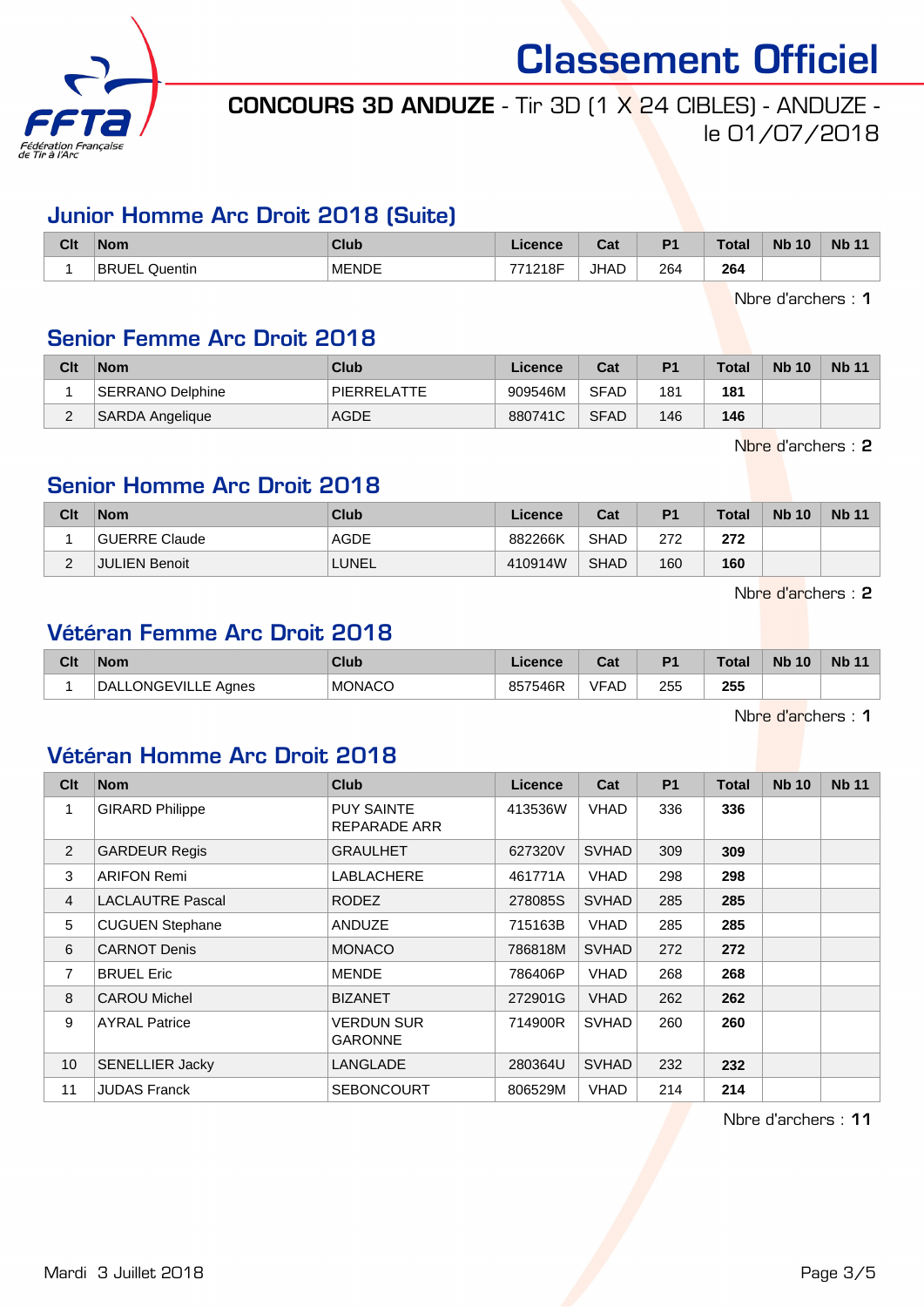

# CONCOURS 3D ANDUZE - Tir 3D (1 X 24 CIBLES) - ANDUZE le 01/07/2018

#### Junior Homme Arc Droit 2018 (Suite)

| Clt | <b>Nom</b>              | <b>Club</b>  | Licence | $F_{\alpha k}$<br>ual | D <sub>1</sub> | <b>Total</b> | <b>Nb</b><br>10 | <b>Nb</b> |
|-----|-------------------------|--------------|---------|-----------------------|----------------|--------------|-----------------|-----------|
|     | <b>BRUEL</b><br>Quentin | <b>MENDE</b> | 771218F | <b>JHAD</b>           | 264            | 264          |                 |           |

Nbre d'archers : 1

#### Senior Femme Arc Droit 2018

| Clt | <b>Nom</b>             | <b>Club</b> | Licence | Cat         | P <sub>1</sub> | <b>Total</b> | <b>Nb 10</b> | <b>Nb 11</b> |
|-----|------------------------|-------------|---------|-------------|----------------|--------------|--------------|--------------|
|     | SERRANO Delphine       | PIERRELATTE | 909546M | <b>SFAD</b> | 181            | 181          |              |              |
| _   | <b>SARDA Angelique</b> | <b>AGDE</b> | 880741C | <b>SFAD</b> | 146            | 146          |              |              |

Nbre d'archers : 2

#### Senior Homme Arc Droit 2018

| Clt | <b>Nom</b>           | Club        | Licence | Cat         | P <sub>1</sub> | <b>Total</b> | <b>Nb 10</b> | <b>Nb 11</b> |
|-----|----------------------|-------------|---------|-------------|----------------|--------------|--------------|--------------|
|     | GUERRE Claude        | <b>AGDE</b> | 882266K | <b>SHAD</b> | 272            | 272          |              |              |
| _   | <b>JULIEN Benoit</b> | LUNEL       | 410914W | <b>SHAD</b> | 160            | 160          |              |              |

Nbre d'archers : 2

### Vétéran Femme Arc Droit 2018

| Clt | <b>Nom</b>                 | Club           | Licence | ו ה<br>⊍d | D <sub>1</sub> | <b>Total</b> | <b>Nb 10</b> | <b>Nb</b> |
|-----|----------------------------|----------------|---------|-----------|----------------|--------------|--------------|-----------|
|     | ONGEVILLE,<br>DAL<br>Aanes | <b>IMONACO</b> | 857546R | VFAD      | 255<br>__      | 255<br>- -   |              |           |

Nbre d'archers : 1

#### Vétéran Homme Arc Droit 2018

| Clt             | <b>Nom</b>              | <b>Club</b>                       | <b>Licence</b> | Cat          | <b>P1</b> | <b>Total</b> | <b>Nb 10</b> | <b>Nb 11</b> |
|-----------------|-------------------------|-----------------------------------|----------------|--------------|-----------|--------------|--------------|--------------|
| 1               | <b>GIRARD Philippe</b>  | <b>PUY SAINTE</b><br>REPARADE ARR | 413536W        | <b>VHAD</b>  | 336       | 336          |              |              |
| $\overline{2}$  | <b>GARDEUR Regis</b>    | GRAULHET                          | 627320V        | <b>SVHAD</b> | 309       | 309          |              |              |
| 3               | <b>ARIFON Remi</b>      | <b>LABLACHERE</b>                 | 461771A        | <b>VHAD</b>  | 298       | 298          |              |              |
| $\overline{4}$  | <b>LACLAUTRE Pascal</b> | RODEZ                             | 278085S        | <b>SVHAD</b> | 285       | 285          |              |              |
| 5               | <b>CUGUEN Stephane</b>  | ANDUZE                            | 715163B        | <b>VHAD</b>  | 285       | 285          |              |              |
| 6               | <b>CARNOT Denis</b>     | <b>MONACO</b>                     | 786818M        | <b>SVHAD</b> | 272       | 272          |              |              |
| $\overline{7}$  | <b>BRUEL Eric</b>       | <b>MENDE</b>                      | 786406P        | <b>VHAD</b>  | 268       | 268          |              |              |
| 8               | <b>CAROU Michel</b>     | <b>BIZANET</b>                    | 272901G        | <b>VHAD</b>  | 262       | 262          |              |              |
| 9               | <b>AYRAL Patrice</b>    | VERDUN SUR<br>GARONNE             | 714900R        | <b>SVHAD</b> | 260       | 260          |              |              |
| 10 <sup>°</sup> | <b>SENELLIER Jacky</b>  | LANGLADE                          | 280364U        | <b>SVHAD</b> | 232       | 232          |              |              |
| 11              | <b>JUDAS Franck</b>     | <b>SEBONCOURT</b>                 | 806529M        | <b>VHAD</b>  | 214       | 214          |              |              |

Nbre d'archers : 11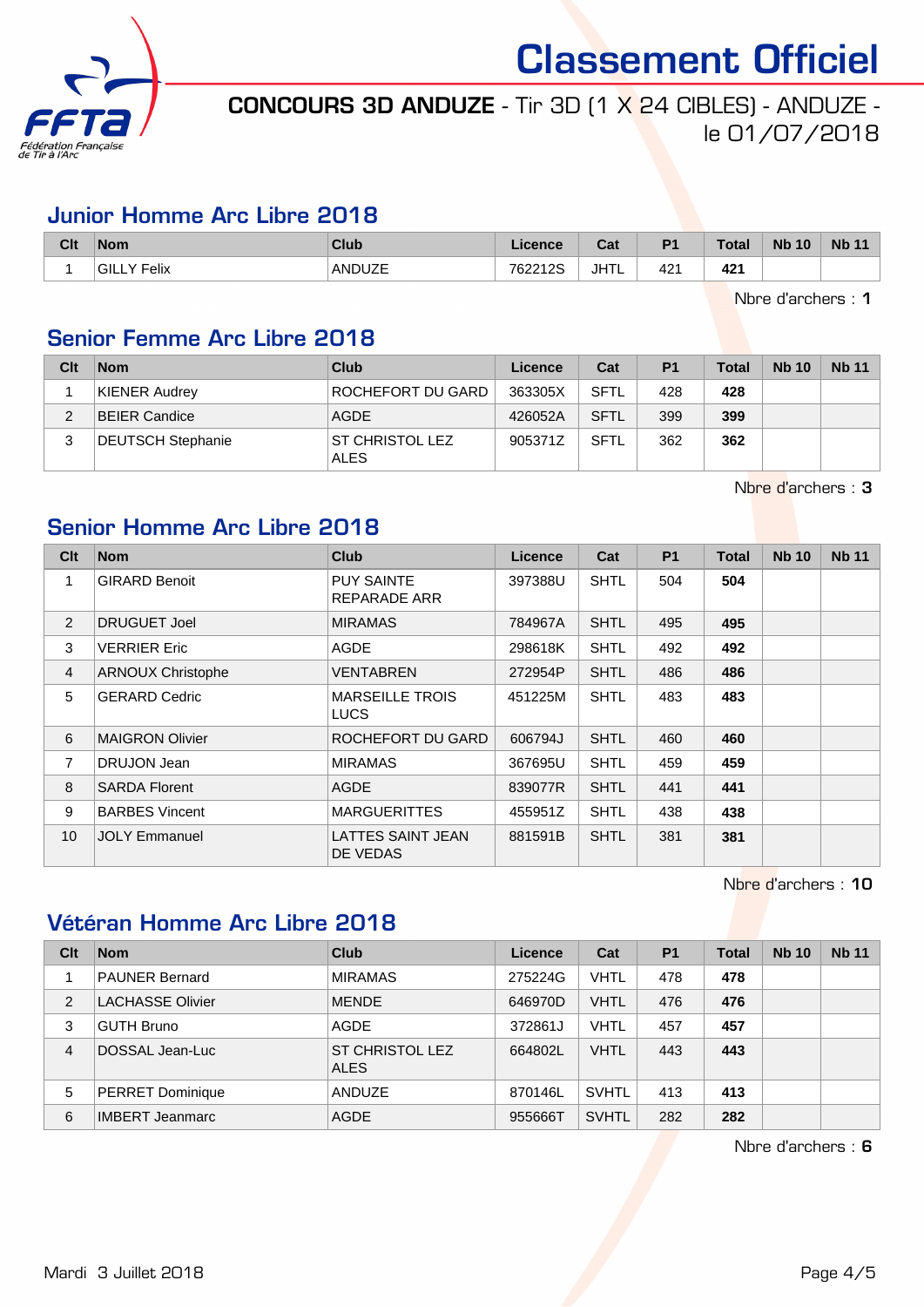

# CONCOURS 3D ANDUZE - Tir 3D (1 X 24 CIBLES) - ANDUZE le 01/07/2018

#### Junior Homme Arc Libre 2018

| Clt | <b>Nom</b>      | <b>Club</b>   | Licence | Cat  | D <sub>1</sub> | <b>Total</b> | <b>Nb 10</b> | <b>N<sub>b</sub></b> |
|-----|-----------------|---------------|---------|------|----------------|--------------|--------------|----------------------|
|     | Felix<br>'GILL\ | <b>ANDUZE</b> | 762212S | JHTL | 421            | 421          |              |                      |

Nbre d'archers : 1

## Senior Femme Arc Libre 2018

| Clt | <b>Nom</b>               | Club                           | Licence | Cat         | P <sub>1</sub> | Total | <b>Nb 10</b> | <b>Nb 11</b> |
|-----|--------------------------|--------------------------------|---------|-------------|----------------|-------|--------------|--------------|
|     | KIENER Audrey            | ROCHEFORT DU GARD              | 363305X | SFTL        | 428            | 428   |              |              |
|     | <b>BEIER Candice</b>     | AGDE                           | 426052A | <b>SFTL</b> | 399            | 399   |              |              |
|     | <b>DEUTSCH Stephanie</b> | ST CHRISTOL LEZ<br><b>ALES</b> | 905371Z | <b>SFTL</b> | 362            | 362   |              |              |

Nbre d'archers : 3

# Senior Homme Arc Libre 2018

| Clt            | <b>Nom</b>               | <b>Club</b>                           | Licence | Cat         | <b>P1</b> | <b>Total</b> | <b>Nb 10</b> | <b>Nb 11</b> |
|----------------|--------------------------|---------------------------------------|---------|-------------|-----------|--------------|--------------|--------------|
| 1              | <b>GIRARD Benoit</b>     | <b>PUY SAINTE</b><br>REPARADE ARR     | 397388U | <b>SHTL</b> | 504       | 504          |              |              |
| 2              | DRUGUET Joel             | <b>MIRAMAS</b>                        | 784967A | <b>SHTL</b> | 495       | 495          |              |              |
| 3              | <b>VERRIER Eric</b>      | AGDE                                  | 298618K | <b>SHTL</b> | 492       | 492          |              |              |
| $\overline{4}$ | <b>ARNOUX Christophe</b> | VENTABREN                             | 272954P | <b>SHTL</b> | 486       | 486          |              |              |
| 5              | <b>GERARD Cedric</b>     | <b>MARSEILLE TROIS</b><br><b>LUCS</b> | 451225M | <b>SHTL</b> | 483       | 483          |              |              |
| 6              | <b>MAIGRON Olivier</b>   | ROCHEFORT DU GARD                     | 606794J | <b>SHTL</b> | 460       | 460          |              |              |
| $\overline{7}$ | DRUJON Jean              | <b>MIRAMAS</b>                        | 367695U | <b>SHTL</b> | 459       | 459          |              |              |
| 8              | <b>SARDA Florent</b>     | <b>AGDE</b>                           | 839077R | <b>SHTL</b> | 441       | 441          |              |              |
| 9              | <b>BARBES Vincent</b>    | <b>MARGUERITTES</b>                   | 455951Z | <b>SHTL</b> | 438       | 438          |              |              |
| 10             | <b>JOLY Emmanuel</b>     | LATTES SAINT JEAN<br>DE VEDAS         | 881591B | <b>SHTL</b> | 381       | 381          |              |              |

Nbre d'archers : 10

# Vétéran Homme Arc Libre 2018

| Clt            | <b>Nom</b>              | <b>Club</b>                           | Licence | Cat          | <b>P1</b> | Total | <b>Nb 10</b> | <b>Nb 11</b> |
|----------------|-------------------------|---------------------------------------|---------|--------------|-----------|-------|--------------|--------------|
|                | <b>PAUNER Bernard</b>   | <b>MIRAMAS</b>                        | 275224G | VHTL         | 478       | 478   |              |              |
| 2              | <b>LACHASSE Olivier</b> | <b>MENDE</b>                          | 646970D | <b>VHTL</b>  | 476       | 476   |              |              |
| 3              | <b>GUTH Bruno</b>       | <b>AGDE</b>                           | 372861J | VHTL         | 457       | 457   |              |              |
| $\overline{4}$ | DOSSAL Jean-Luc         | <b>ST CHRISTOL LEZ</b><br><b>ALES</b> | 664802L | <b>VHTL</b>  | 443       | 443   |              |              |
| 5              | <b>PERRET Dominique</b> | <b>ANDUZE</b>                         | 870146L | <b>SVHTL</b> | 413       | 413   |              |              |
| 6              | <b>IMBERT Jeanmarc</b>  | <b>AGDE</b>                           | 955666T | <b>SVHTL</b> | 282       | 282   |              |              |

Nbre d'archers : 6